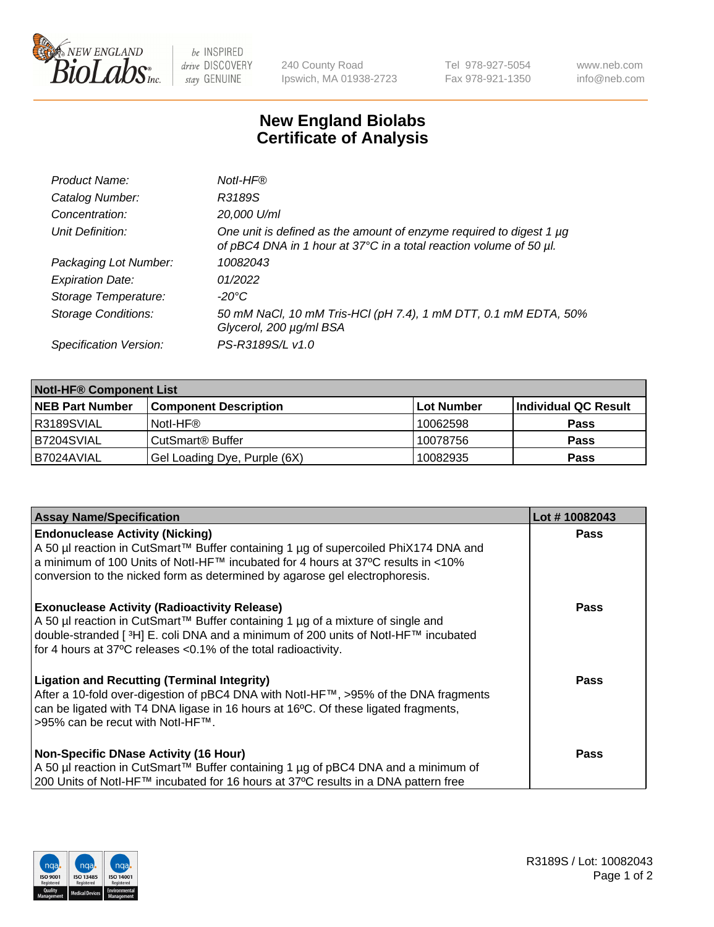

be INSPIRED drive DISCOVERY stay GENUINE

240 County Road Ipswich, MA 01938-2723 Tel 978-927-5054 Fax 978-921-1350 www.neb.com info@neb.com

## **New England Biolabs Certificate of Analysis**

| Product Name:              | Notl-HF®                                                                                                                                  |
|----------------------------|-------------------------------------------------------------------------------------------------------------------------------------------|
| Catalog Number:            | R3189S                                                                                                                                    |
| Concentration:             | 20,000 U/ml                                                                                                                               |
| Unit Definition:           | One unit is defined as the amount of enzyme required to digest 1 µg<br>of pBC4 DNA in 1 hour at 37°C in a total reaction volume of 50 µl. |
| Packaging Lot Number:      | 10082043                                                                                                                                  |
| <b>Expiration Date:</b>    | 01/2022                                                                                                                                   |
| Storage Temperature:       | $-20^{\circ}$ C                                                                                                                           |
| <b>Storage Conditions:</b> | 50 mM NaCl, 10 mM Tris-HCl (pH 7.4), 1 mM DTT, 0.1 mM EDTA, 50%<br>Glycerol, 200 µg/ml BSA                                                |
| Specification Version:     | PS-R3189S/L v1.0                                                                                                                          |

| <b>Notl-HF® Component List</b> |                              |            |                      |  |  |
|--------------------------------|------------------------------|------------|----------------------|--|--|
| <b>NEB Part Number</b>         | <b>Component Description</b> | Lot Number | Individual QC Result |  |  |
| R3189SVIAL                     | Notl-HF®                     | 10062598   | <b>Pass</b>          |  |  |
| B7204SVIAL                     | CutSmart <sup>®</sup> Buffer | 10078756   | <b>Pass</b>          |  |  |
| B7024AVIAL                     | Gel Loading Dye, Purple (6X) | 10082935   | <b>Pass</b>          |  |  |

| <b>Assay Name/Specification</b>                                                                                                                                                                                                                                                                 | Lot #10082043 |
|-------------------------------------------------------------------------------------------------------------------------------------------------------------------------------------------------------------------------------------------------------------------------------------------------|---------------|
| <b>Endonuclease Activity (Nicking)</b><br>A 50 µl reaction in CutSmart™ Buffer containing 1 µg of supercoiled PhiX174 DNA and                                                                                                                                                                   | <b>Pass</b>   |
| a minimum of 100 Units of Notl-HF™ incubated for 4 hours at 37°C results in <10%<br>conversion to the nicked form as determined by agarose gel electrophoresis.                                                                                                                                 |               |
| <b>Exonuclease Activity (Radioactivity Release)</b><br>A 50 µl reaction in CutSmart™ Buffer containing 1 µg of a mixture of single and<br> double-stranded [3H] E. coli DNA and a minimum of 200 units of Notl-HF™ incubated<br>for 4 hours at 37°C releases < 0.1% of the total radioactivity. | <b>Pass</b>   |
| <b>Ligation and Recutting (Terminal Integrity)</b><br>After a 10-fold over-digestion of pBC4 DNA with Notl-HF™, >95% of the DNA fragments<br>can be ligated with T4 DNA ligase in 16 hours at 16°C. Of these ligated fragments,<br>>95% can be recut with Notl-HF™.                             | <b>Pass</b>   |
| <b>Non-Specific DNase Activity (16 Hour)</b>                                                                                                                                                                                                                                                    | <b>Pass</b>   |
| A 50 µl reaction in CutSmart™ Buffer containing 1 µg of pBC4 DNA and a minimum of<br>200 Units of Notl-HF™ incubated for 16 hours at 37°C results in a DNA pattern free                                                                                                                         |               |